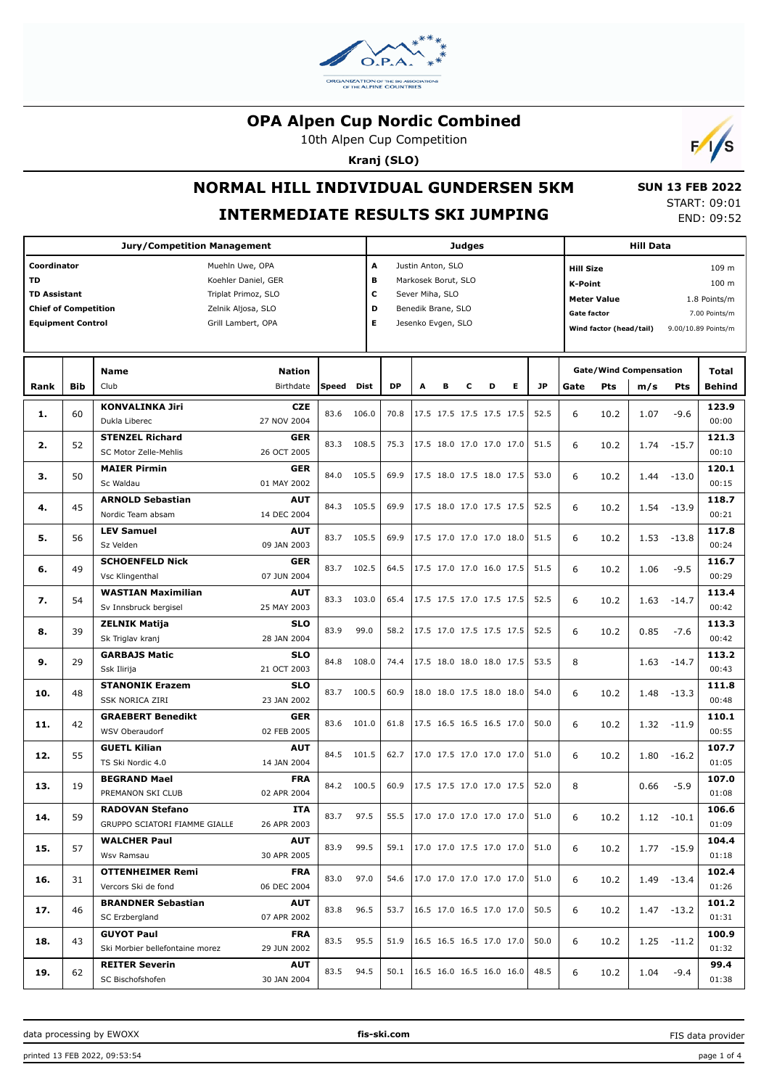

10th Alpen Cup Competition

**Kranj (SLO)**



# **NORMAL HILL INDIVIDUAL GUNDERSEN 5KM**

#### **INTERMEDIATE RESULTS SKI JUMPING**

 **SUN 13 FEB 2022** START: 09:01 END: 09:52

|                             |            |                                                |       |                      | <b>Judges</b>                         |                    | <b>Hill Data</b> |   |                                                                  |           |                                             |                               |      |               |                     |
|-----------------------------|------------|------------------------------------------------|-------|----------------------|---------------------------------------|--------------------|------------------|---|------------------------------------------------------------------|-----------|---------------------------------------------|-------------------------------|------|---------------|---------------------|
| Coordinator                 |            | Muehln Uwe, OPA                                |       | A                    | Justin Anton, SLO<br><b>Hill Size</b> |                    |                  |   |                                                                  |           |                                             |                               |      |               | 109 m               |
| <b>TD</b>                   |            | Koehler Daniel, GER                            |       |                      | в<br>Markosek Borut, SLO              |                    |                  |   |                                                                  |           |                                             | <b>K-Point</b>                |      |               |                     |
| <b>TD Assistant</b>         |            | Triplat Primoz, SLO                            |       | c<br>Sever Miha, SLO |                                       |                    |                  |   |                                                                  |           | 100 m<br><b>Meter Value</b><br>1.8 Points/m |                               |      |               |                     |
| <b>Chief of Competition</b> |            | Zelnik Aljosa, SLO                             |       | D                    |                                       | Benedik Brane, SLO |                  |   |                                                                  |           | <b>Gate factor</b>                          |                               |      |               | 7.00 Points/m       |
| <b>Equipment Control</b>    |            | Grill Lambert, OPA                             |       | Е                    |                                       | Jesenko Evgen, SLO |                  |   |                                                                  |           |                                             |                               |      |               |                     |
|                             |            |                                                |       |                      |                                       |                    |                  |   |                                                                  |           |                                             | Wind factor (head/tail)       |      |               | 9.00/10.89 Points/m |
|                             |            |                                                |       |                      |                                       |                    |                  |   |                                                                  |           |                                             |                               |      |               |                     |
|                             |            | <b>Nation</b><br><b>Name</b>                   |       |                      |                                       |                    |                  |   |                                                                  |           |                                             | <b>Gate/Wind Compensation</b> |      |               | Total               |
| Rank                        | <b>Bib</b> | Club<br>Birthdate                              | Speed | Dist                 | <b>DP</b>                             | A                  | в                | c | D<br>Е                                                           | <b>JP</b> | Gate                                        | Pts                           | m/s  | Pts           | <b>Behind</b>       |
|                             |            | <b>KONVALINKA Jiri</b><br><b>CZE</b>           |       |                      |                                       |                    |                  |   |                                                                  |           |                                             |                               |      |               | 123.9               |
| 1.                          | 60         | 27 NOV 2004<br>Dukla Liberec                   | 83.6  | 106.0                | 70.8                                  |                    |                  |   | 17.5 17.5 17.5 17.5 17.5                                         | 52.5      | 6                                           | 10.2                          | 1.07 | $-9.6$        | 00:00               |
|                             |            | <b>STENZEL Richard</b><br><b>GER</b>           |       |                      |                                       |                    |                  |   |                                                                  |           |                                             |                               |      |               | 121.3               |
| 2.                          | 52         | 26 OCT 2005<br>SC Motor Zelle-Mehlis           | 83.3  | 108.5                | 75.3                                  |                    |                  |   | 17.5 18.0 17.0 17.0 17.0                                         | 51.5      | 6                                           | 10.2                          | 1.74 | $-15.7$       | 00:10               |
|                             |            | <b>MAIER Pirmin</b><br><b>GER</b>              |       |                      |                                       |                    |                  |   |                                                                  |           |                                             |                               |      |               | 120.1               |
| з.                          | 50         | 01 MAY 2002<br>Sc Waldau                       | 84.0  | 105.5                | 69.9                                  |                    |                  |   | 17.5 18.0 17.5 18.0 17.5                                         | 53.0      | 6                                           | 10.2                          | 1.44 | $-13.0$       | 00:15               |
|                             |            | <b>AUT</b><br><b>ARNOLD Sebastian</b>          |       |                      |                                       |                    |                  |   |                                                                  |           |                                             |                               |      |               | 118.7               |
| 4.                          | 45         | 14 DEC 2004<br>Nordic Team absam               | 84.3  | 105.5                | 69.9                                  |                    |                  |   | 17.5 18.0 17.0 17.5 17.5                                         | 52.5      | 6                                           | 10.2                          | 1.54 | $-13.9$       | 00:21               |
|                             |            | <b>LEV Samuel</b><br><b>AUT</b>                |       |                      |                                       |                    |                  |   |                                                                  |           |                                             |                               |      |               | 117.8               |
| 5.                          | 56         | 09 JAN 2003<br>Sz Velden                       | 83.7  | 105.5                | 69.9                                  |                    |                  |   | 17.5 17.0 17.0 17.0 18.0                                         | 51.5      | 6                                           | 10.2                          | 1.53 | $-13.8$       | 00:24               |
|                             |            | <b>SCHOENFELD Nick</b><br><b>GER</b>           |       |                      |                                       |                    |                  |   |                                                                  |           |                                             |                               |      |               | 116.7               |
| 6.                          | 49         | 07 JUN 2004<br>Vsc Klingenthal                 | 83.7  | 102.5                | 64.5                                  |                    |                  |   | 17.5 17.0 17.0 16.0 17.5                                         | 51.5      | 6                                           | 10.2                          | 1.06 | $-9.5$        | 00:29               |
|                             |            | <b>WASTIAN Maximilian</b><br><b>AUT</b>        |       |                      |                                       |                    |                  |   |                                                                  |           |                                             |                               |      |               | 113.4               |
| 7.                          | 54         | 25 MAY 2003<br>Sv Innsbruck bergisel           | 83.3  | 103.0                | 65.4                                  |                    |                  |   | 17.5 17.5 17.0 17.5 17.5                                         | 52.5      | 6                                           | 10.2                          | 1.63 | $-14.7$       | 00:42               |
|                             |            | <b>ZELNIK Matija</b><br><b>SLO</b>             |       |                      |                                       |                    |                  |   |                                                                  |           |                                             |                               |      |               | 113.3               |
| 8.                          | 39         | Sk Triglav kranj<br>28 JAN 2004                | 83.9  | 99.0                 | 58.2                                  |                    |                  |   | 17.5 17.0 17.5 17.5 17.5                                         | 52.5      | 6                                           | 10.2                          | 0.85 | $-7.6$        | 00:42               |
|                             |            | <b>SLO</b><br><b>GARBAJS Matic</b>             |       |                      |                                       |                    |                  |   |                                                                  |           |                                             |                               |      |               | 113.2               |
| 9.                          | 29         | 21 OCT 2003<br>Ssk Ilirija                     | 84.8  | 108.0                | 74.4                                  |                    |                  |   | 17.5 18.0 18.0 18.0 17.5                                         | 53.5      | 8                                           |                               | 1.63 | $-14.7$       | 00:43               |
|                             |            | <b>STANONIK Erazem</b><br><b>SLO</b>           |       |                      |                                       |                    |                  |   |                                                                  |           |                                             |                               |      |               | 111.8               |
| 10.                         | 48         | <b>SSK NORICA ZIRI</b><br>23 JAN 2002          | 83.7  | 100.5                | 60.9                                  |                    |                  |   | 18.0 18.0 17.5 18.0 18.0                                         | 54.0      | 6                                           | 10.2                          | 1.48 | $-13.3$       | 00:48               |
|                             |            | <b>GRAEBERT Benedikt</b><br><b>GER</b>         |       |                      |                                       |                    |                  |   |                                                                  |           |                                             |                               |      |               | 110.1               |
| 11.                         | 42         | 02 FEB 2005<br>WSV Oberaudorf                  | 83.6  | 101.0                | 61.8                                  |                    |                  |   | 17.5 16.5 16.5 16.5 17.0                                         | 50.0      | 6                                           | 10.2                          | 1.32 | $-11.9$       | 00:55               |
|                             |            | <b>GUETL Kilian</b><br><b>AUT</b>              |       |                      |                                       |                    |                  |   |                                                                  |           |                                             |                               |      |               | 107.7               |
| 12.                         | 55         | TS Ski Nordic 4.0<br>14 JAN 2004               | 84.5  | 101.5                | 62.7                                  |                    |                  |   | 17.0 17.5 17.0 17.0 17.0                                         | 51.0      | 6                                           | 10.2                          | 1.80 | $-16.2$       | 01:05               |
|                             |            | <b>FRA</b><br><b>BEGRAND Mael</b>              |       |                      |                                       |                    |                  |   |                                                                  |           |                                             |                               |      |               | 107.0               |
| 13.                         | 19         | 02 APR 2004<br>PREMANON SKI CLUB               |       | 84.2 100.5           | 60.9                                  |                    |                  |   | 17.5 17.5 17.0 17.0 17.5                                         | 52.0      | 8                                           |                               | 0.66 | $-5.9$        | 01:08               |
|                             |            | <b>ITA</b><br><b>RADOVAN Stefano</b>           |       |                      |                                       |                    |                  |   |                                                                  |           |                                             |                               |      |               | 106.6               |
| 14.                         | 59         | GRUPPO SCIATORI FIAMME GIALLE<br>26 APR 2003   | 83.7  | 97.5                 | 55.5                                  |                    |                  |   | $\begin{vmatrix} 17.0 & 17.0 & 17.0 & 17.0 & 17.0 \end{vmatrix}$ | 51.0      | 6                                           | 10.2                          |      | $1.12 - 10.1$ | 01:09               |
|                             |            | <b>WALCHER Paul</b><br>AUT                     |       | 99.5                 |                                       |                    |                  |   |                                                                  |           |                                             |                               |      |               | 104.4               |
| 15.                         | 57         | 30 APR 2005<br>Wsv Ramsau                      | 83.9  |                      |                                       |                    |                  |   | 59.1   17.0 17.0 17.5 17.0 17.0                                  | 51.0      | 6                                           | 10.2                          |      | $1.77 - 15.9$ | 01:18               |
|                             |            | <b>OTTENHEIMER Remi</b><br><b>FRA</b>          |       |                      |                                       |                    |                  |   |                                                                  |           |                                             |                               |      |               | 102.4               |
| 16.                         | 31         | Vercors Ski de fond<br>06 DEC 2004             | 83.0  | 97.0                 |                                       |                    |                  |   | 54.6   17.0 17.0 17.0 17.0 17.0                                  | 51.0      | 6                                           | 10.2                          |      | 1.49 -13.4    | 01:26               |
|                             |            | <b>BRANDNER Sebastian</b><br>AUT               |       |                      |                                       |                    |                  |   |                                                                  |           |                                             |                               |      |               | 101.2               |
| 17.                         | 46         | SC Erzbergland<br>07 APR 2002                  | 83.8  | 96.5                 | 53.7                                  |                    |                  |   | $16.5$ 17.0 16.5 17.0 17.0                                       | 50.5      | 6                                           | 10.2                          |      | $1.47 - 13.2$ | 01:31               |
|                             |            | <b>GUYOT Paul</b><br><b>FRA</b>                |       |                      |                                       |                    |                  |   |                                                                  |           |                                             |                               |      |               | 100.9               |
| 18.                         | 43         | Ski Morbier bellefontaine morez<br>29 JUN 2002 | 83.5  | 95.5                 | 51.9                                  |                    |                  |   | $16.5$ 16.5 16.5 17.0 17.0                                       | 50.0      | 6                                           | 10.2                          |      | $1.25 - 11.2$ | 01:32               |
|                             |            | <b>REITER Severin</b><br>AUT                   |       |                      |                                       |                    |                  |   |                                                                  |           |                                             |                               |      |               | 99.4                |
| 19.                         | 62         | SC Bischofshofen<br>30 JAN 2004                | 83.5  | 94.5                 |                                       |                    |                  |   | 50.1   16.5 16.0 16.5 16.0 16.0                                  | 48.5      | 6                                           | 10.2                          | 1.04 | $-9.4$        | 01:38               |

data processing by EWOXX **fis-ski.com**

FIS data provider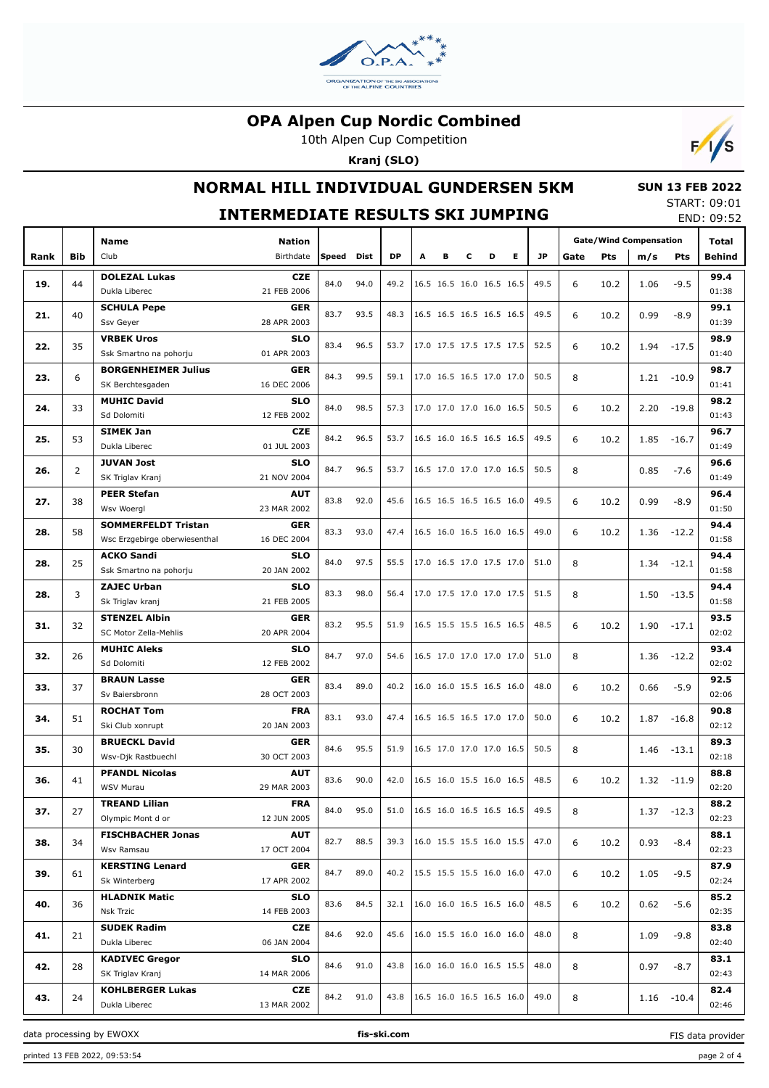

10th Alpen Cup Competition

**Kranj (SLO)**



## **NORMAL HILL INDIVIDUAL GUNDERSEN 5KM**

 **SUN 13 FEB 2022** START: 09:01

|      | <b>INTERMEDIATE RESULTS SKI JUMPING</b><br>END: 09:52 |                               |               |       |      |                                 |                                 |                          |                          |                          |                          |                                        |           |      |       |               |        |
|------|-------------------------------------------------------|-------------------------------|---------------|-------|------|---------------------------------|---------------------------------|--------------------------|--------------------------|--------------------------|--------------------------|----------------------------------------|-----------|------|-------|---------------|--------|
|      |                                                       | Name                          | <b>Nation</b> |       |      |                                 |                                 |                          |                          |                          |                          | <b>Gate/Wind Compensation</b><br>Total |           |      |       |               |        |
| Rank | Bib                                                   | Club                          | Birthdate     | Speed | Dist | <b>DP</b>                       | A                               | в                        | с                        | D                        | Е                        | JP.                                    | Gate      | Pts  | m/s   | <b>Pts</b>    | Behind |
|      |                                                       | <b>DOLEZAL Lukas</b>          | <b>CZE</b>    |       |      |                                 |                                 |                          |                          |                          |                          |                                        |           |      |       |               | 99.4   |
| 19.  | 44                                                    | Dukla Liberec                 | 21 FEB 2006   | 84.0  | 94.0 | 49.2                            |                                 |                          |                          |                          | 16.5 16.5 16.0 16.5 16.5 | 49.5                                   | 6         | 10.2 | 1.06  | $-9.5$        | 01:38  |
|      |                                                       | <b>SCHULA Pepe</b>            | <b>GER</b>    |       |      |                                 |                                 |                          |                          |                          |                          |                                        |           |      |       |               | 99.1   |
| 21.  | 40                                                    | Ssv Geyer                     | 28 APR 2003   | 83.7  | 93.5 | 48.3                            |                                 |                          |                          |                          | 16.5 16.5 16.5 16.5 16.5 | 49.5                                   | 6         | 10.2 | 0.99  | $-8.9$        | 01:39  |
|      |                                                       | <b>VRBEK Uros</b>             | <b>SLO</b>    |       |      |                                 |                                 |                          |                          |                          |                          |                                        |           |      |       |               | 98.9   |
| 22.  | 35                                                    | Ssk Smartno na pohorju        | 01 APR 2003   | 83.4  | 96.5 | 53.7                            |                                 |                          |                          | 17.0 17.5 17.5 17.5 17.5 |                          | 52.5                                   | 6         | 10.2 | 1.94  | -17.5         | 01:40  |
|      |                                                       | <b>BORGENHEIMER Julius</b>    | <b>GER</b>    |       |      |                                 |                                 |                          |                          |                          |                          |                                        |           |      |       |               | 98.7   |
| 23.  | 6                                                     | SK Berchtesgaden              | 16 DEC 2006   | 84.3  | 99.5 | 59.1                            |                                 |                          |                          | 17.0 16.5 16.5 17.0 17.0 |                          | 50.5                                   | 8         |      |       | $1.21 - 10.9$ | 01:41  |
|      |                                                       | <b>MUHIC David</b>            | <b>SLO</b>    |       |      |                                 |                                 |                          |                          |                          |                          |                                        |           |      |       |               | 98.2   |
| 24.  | 33                                                    | Sd Dolomiti                   | 12 FEB 2002   | 84.0  | 98.5 |                                 | 57.3   17.0 17.0 17.0 16.0 16.5 |                          |                          |                          |                          | 50.5                                   | 6         | 10.2 | 2.20  | -19.8         | 01:43  |
|      |                                                       | <b>SIMEK Jan</b>              | <b>CZE</b>    |       |      |                                 |                                 |                          |                          |                          |                          |                                        |           |      |       |               | 96.7   |
| 25.  | 53                                                    | Dukla Liberec                 | 01 JUL 2003   | 84.2  | 96.5 | 53.7                            |                                 | 16.5 16.0 16.5 16.5 16.5 |                          |                          |                          | 49.5                                   | 6         | 10.2 | 1.85  | $-16.7$       | 01:49  |
|      |                                                       | <b>JUVAN Jost</b>             | SLO           |       |      |                                 |                                 |                          |                          |                          |                          |                                        |           |      |       |               | 96.6   |
| 26.  | 2                                                     | SK Triglav Kranj              | 21 NOV 2004   | 84.7  | 96.5 | 53.7                            |                                 |                          | 16.5 17.0 17.0 17.0 16.5 |                          |                          | 50.5                                   | 8         |      | 0.85  | $-7.6$        | 01:49  |
|      |                                                       | <b>PEER Stefan</b>            | <b>AUT</b>    |       |      |                                 |                                 |                          |                          |                          |                          |                                        |           |      |       |               | 96.4   |
| 27.  | 38                                                    | Wsv Woergl                    | 23 MAR 2002   | 83.8  | 92.0 | 45.6                            |                                 |                          |                          |                          | 16.5 16.5 16.5 16.5 16.0 | 49.5                                   | 6         | 10.2 | 0.99  | $-8.9$        | 01:50  |
|      |                                                       | <b>SOMMERFELDT Tristan</b>    | <b>GER</b>    |       |      |                                 |                                 |                          |                          |                          |                          |                                        |           |      |       |               | 94.4   |
| 28.  | 58                                                    | Wsc Erzgebirge oberwiesenthal | 16 DEC 2004   | 83.3  | 93.0 | 47.4                            |                                 |                          |                          |                          | 16.5 16.0 16.5 16.0 16.5 | 49.0                                   | 6         | 10.2 | 1.36  | -12.2         | 01:58  |
|      |                                                       | <b>ACKO Sandi</b>             | SLO           |       |      |                                 |                                 |                          |                          |                          |                          |                                        |           |      |       |               | 94.4   |
| 28.  | 25                                                    | Ssk Smartno na pohorju        | 20 JAN 2002   | 84.0  | 97.5 | 55.5                            | 17.0 16.5 17.0 17.5 17.0        |                          |                          |                          |                          | 51.0                                   | 8         |      | 1.34  | -12.1         | 01:58  |
|      |                                                       | <b>ZAJEC Urban</b>            | SLO           |       |      |                                 |                                 |                          |                          |                          |                          |                                        |           |      |       |               | 94.4   |
| 28.  | 3                                                     | Sk Triglav kranj              | 21 FEB 2005   | 83.3  | 98.0 | 56.4                            |                                 |                          |                          |                          | 17.0 17.5 17.0 17.0 17.5 | 51.5                                   | 8         |      | 1.50  | -13.5         | 01:58  |
|      |                                                       | <b>STENZEL Albin</b>          | <b>GER</b>    |       |      |                                 |                                 |                          |                          |                          |                          |                                        |           |      |       |               | 93.5   |
| 31.  | 32                                                    | SC Motor Zella-Mehlis         | 20 APR 2004   | 83.2  | 95.5 | 51.9                            |                                 |                          |                          |                          | 16.5 15.5 15.5 16.5 16.5 | 48.5                                   | 6         | 10.2 | 1.90  | $-17.1$       | 02:02  |
|      |                                                       | <b>MUHIC Aleks</b>            | <b>SLO</b>    |       |      |                                 |                                 |                          |                          |                          |                          |                                        |           |      |       |               | 93.4   |
| 32.  | 26                                                    | Sd Dolomiti                   | 12 FEB 2002   | 84.7  | 97.0 | 54.6                            |                                 |                          |                          | 16.5 17.0 17.0 17.0 17.0 |                          | 51.0                                   | 8         |      | 1.36  | -12.2         | 02:02  |
| 33.  | 37                                                    | <b>BRAUN Lasse</b>            | <b>GER</b>    |       | 89.0 | 40.2                            |                                 |                          |                          |                          |                          | 48.0                                   | 6         | 10.2 | 0.66  |               | 92.5   |
|      |                                                       | Sv Baiersbronn                | 28 OCT 2003   | 83.4  |      |                                 |                                 |                          | 16.0 16.0 15.5 16.5 16.0 |                          |                          |                                        |           |      |       | $-5.9$        | 02:06  |
| 34.  | 51                                                    | <b>ROCHAT Tom</b>             | <b>FRA</b>    | 83.1  | 93.0 | 47.4                            |                                 |                          |                          |                          | 16.5 16.5 16.5 17.0 17.0 | 50.0                                   | 6<br>10.2 | 1.87 | -16.8 | 90.8          |        |
|      |                                                       | Ski Club xonrupt              | 20 JAN 2003   |       |      |                                 |                                 |                          |                          |                          |                          |                                        |           |      |       |               | 02:12  |
| 35.  | 30                                                    | <b>BRUECKL David</b>          | <b>GER</b>    | 84.6  | 95.5 | 51.9                            |                                 |                          |                          |                          | 16.5 17.0 17.0 17.0 16.5 | 50.5                                   | 8         |      | 1.46  | -13.1         | 89.3   |
|      |                                                       | Wsv-Djk Rastbuechl            | 30 OCT 2003   |       |      |                                 |                                 |                          |                          |                          |                          |                                        |           |      |       |               | 02:18  |
| 36.  | 41                                                    | <b>PFANDL Nicolas</b>         | <b>AUT</b>    | 83.6  | 90.0 | 42.0   16.5 16.0 15.5 16.0 16.5 |                                 |                          |                          |                          |                          | 48.5                                   | 6         | 10.2 |       | $1.32 - 11.9$ | 88.8   |
|      |                                                       | WSV Murau                     | 29 MAR 2003   |       |      |                                 |                                 |                          |                          |                          |                          |                                        |           |      |       |               | 02:20  |
| 37.  | 27                                                    | <b>TREAND Lilian</b>          | <b>FRA</b>    | 84.0  | 95.0 | 51.0                            |                                 |                          |                          |                          | 16.5 16.0 16.5 16.5 16.5 | 49.5                                   | 8         |      |       | $1.37 - 12.3$ | 88.2   |
|      |                                                       | Olympic Mont d or             | 12 JUN 2005   |       |      |                                 |                                 |                          |                          |                          |                          |                                        |           |      |       |               | 02:23  |
| 38.  | 34                                                    | <b>FISCHBACHER Jonas</b>      | <b>AUT</b>    | 82.7  | 88.5 | 39.3                            |                                 |                          |                          |                          | 16.0 15.5 15.5 16.0 15.5 | 47.0                                   | 6         | 10.2 | 0.93  | -8.4          | 88.1   |
|      |                                                       | Wsv Ramsau                    | 17 OCT 2004   |       |      |                                 |                                 |                          |                          |                          |                          |                                        |           |      |       |               | 02:23  |
| 39.  | 61                                                    | <b>KERSTING Lenard</b>        | <b>GER</b>    | 84.7  | 89.0 | 40.2                            |                                 |                          |                          |                          | 15.5 15.5 15.5 16.0 16.0 | 47.0                                   | 6         | 10.2 | 1.05  | $-9.5$        | 87.9   |
|      |                                                       | Sk Winterberg                 | 17 APR 2002   |       |      |                                 |                                 |                          |                          |                          |                          |                                        |           |      |       |               | 02:24  |
| 40.  | 36                                                    | <b>HLADNIK Matic</b>          | <b>SLO</b>    | 83.6  | 84.5 | 32.1                            |                                 |                          |                          |                          | 16.0 16.0 16.5 16.5 16.0 | 48.5                                   | 6         | 10.2 | 0.62  | -5.6          | 85.2   |
|      |                                                       | Nsk Trzic                     | 14 FEB 2003   |       |      |                                 |                                 |                          |                          |                          |                          |                                        |           |      |       |               | 02:35  |
| 41.  | 21                                                    | <b>SUDEK Radim</b>            | <b>CZE</b>    | 84.6  | 92.0 | 45.6                            |                                 |                          |                          |                          | 16.0 15.5 16.0 16.0 16.0 | 48.0                                   | 8         |      | 1.09  | $-9.8$        | 83.8   |
|      |                                                       | Dukla Liberec                 | 06 JAN 2004   |       |      |                                 |                                 |                          |                          |                          |                          |                                        |           |      |       |               | 02:40  |
| 42.  | 28                                                    | <b>KADIVEC Gregor</b>         | <b>SLO</b>    | 84.6  | 91.0 | 43.8                            |                                 |                          |                          |                          | 16.0 16.0 16.0 16.5 15.5 | 48.0                                   | 8         |      | 0.97  | $-8.7$        | 83.1   |
|      |                                                       | SK Triglav Kranj              | 14 MAR 2006   |       |      |                                 |                                 |                          |                          |                          |                          |                                        |           |      |       |               | 02:43  |
| 43.  | 24                                                    | <b>KOHLBERGER Lukas</b>       | CZE           | 84.2  | 91.0 | 43.8   16.5 16.0 16.5 16.5 16.0 |                                 |                          |                          |                          |                          | 49.0                                   | 8         |      |       | $1.16 - 10.4$ | 82.4   |
|      |                                                       | Dukla Liberec                 | 13 MAR 2002   |       |      |                                 |                                 |                          |                          |                          |                          |                                        |           |      |       |               | 02:46  |

data processing by EWOXX **fis-ski.com**

FIS data provider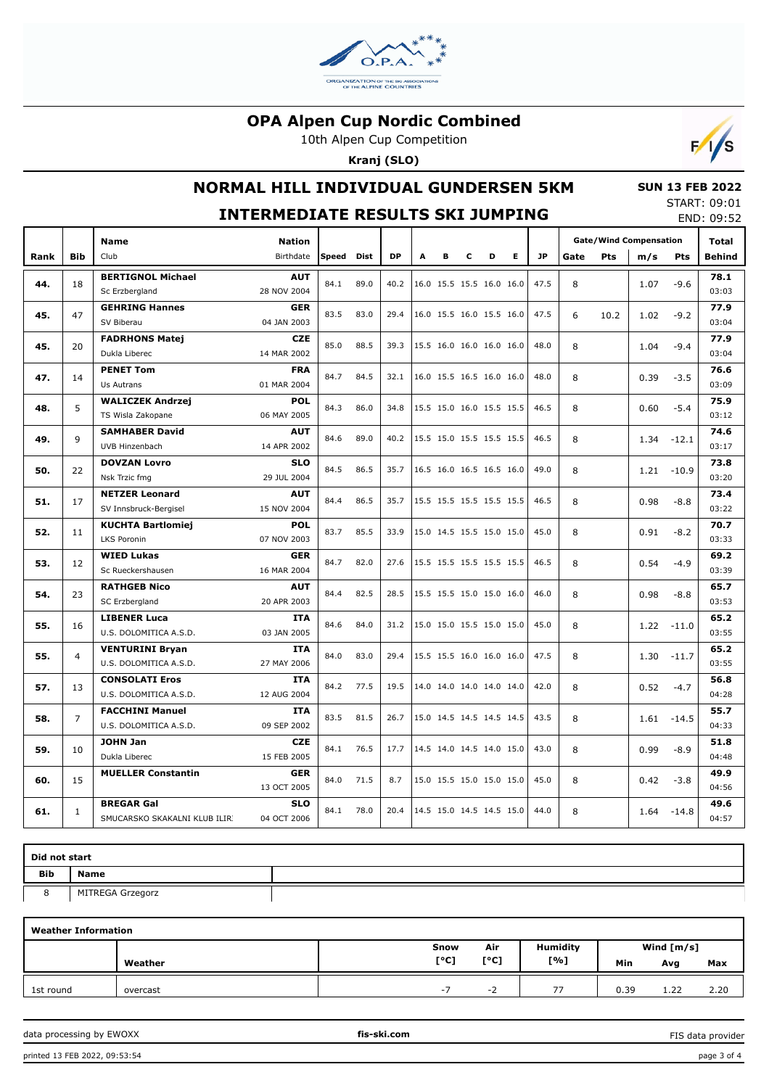

10th Alpen Cup Competition

**Kranj (SLO)**



## **NORMAL HILL INDIVIDUAL GUNDERSEN 5KM**

#### **SUN 13 FEB 2022** START: 09:01

|      |                |                                                    | <b>INTERMEDIATE RESULTS SKI JUMPING</b> |              |      |      |   |                          |   |   |   |           |      |                               |      |              | END: 09:52    |
|------|----------------|----------------------------------------------------|-----------------------------------------|--------------|------|------|---|--------------------------|---|---|---|-----------|------|-------------------------------|------|--------------|---------------|
|      |                | <b>Name</b>                                        | <b>Nation</b>                           |              |      |      |   |                          |   |   |   |           |      | <b>Gate/Wind Compensation</b> |      | <b>Total</b> |               |
| Rank | <b>Bib</b>     | Club                                               | Birthdate                               | <b>Speed</b> | Dist | DP   | A | в                        | С | D | E | <b>JP</b> | Gate | Pts                           | m/s  | <b>Pts</b>   | Behind        |
| 44.  | 18             | <b>BERTIGNOL Michael</b><br>Sc Erzbergland         | <b>AUT</b><br>28 NOV 2004               | 84.1         | 89.0 | 40.2 |   | 16.0 15.5 15.5 16.0 16.0 |   |   |   | 47.5      | 8    |                               | 1.07 | $-9.6$       | 78.1<br>03:03 |
| 45.  | 47             | <b>GEHRING Hannes</b><br>SV Biberau                | <b>GER</b><br>04 JAN 2003               | 83.5         | 83.0 | 29.4 |   | 16.0 15.5 16.0 15.5 16.0 |   |   |   | 47.5      | 6    | 10.2                          | 1.02 | $-9.2$       | 77.9<br>03:04 |
| 45.  | 20             | <b>FADRHONS Matej</b><br>Dukla Liberec             | <b>CZE</b><br>14 MAR 2002               | 85.0         | 88.5 | 39.3 |   | 15.5 16.0 16.0 16.0 16.0 |   |   |   | 48.0      | 8    |                               | 1.04 | $-9.4$       | 77.9<br>03:04 |
| 47.  | 14             | <b>PENET Tom</b><br>Us Autrans                     | <b>FRA</b><br>01 MAR 2004               | 84.7         | 84.5 | 32.1 |   | 16.0 15.5 16.5 16.0 16.0 |   |   |   | 48.0      | 8    |                               | 0.39 | $-3.5$       | 76.6<br>03:09 |
| 48.  | 5              | <b>WALICZEK Andrzej</b><br>TS Wisla Zakopane       | <b>POL</b><br>06 MAY 2005               | 84.3         | 86.0 | 34.8 |   | 15.5 15.0 16.0 15.5 15.5 |   |   |   | 46.5      | 8    |                               | 0.60 | $-5.4$       | 75.9<br>03:12 |
| 49.  | 9              | <b>SAMHABER David</b><br>UVB Hinzenbach            | <b>AUT</b><br>14 APR 2002               | 84.6         | 89.0 | 40.2 |   | 15.5 15.0 15.5 15.5 15.5 |   |   |   | 46.5      | 8    |                               | 1.34 | $-12.1$      | 74.6<br>03:17 |
| 50.  | 22             | <b>DOVZAN Lovro</b><br>Nsk Trzic fmg               | <b>SLO</b><br>29 JUL 2004               | 84.5         | 86.5 | 35.7 |   | 16.5 16.0 16.5 16.5 16.0 |   |   |   | 49.0      | 8    |                               | 1.21 | $-10.9$      | 73.8<br>03:20 |
| 51.  | 17             | <b>NETZER Leonard</b><br>SV Innsbruck-Bergisel     | <b>AUT</b><br>15 NOV 2004               | 84.4         | 86.5 | 35.7 |   | 15.5 15.5 15.5 15.5 15.5 |   |   |   | 46.5      | 8    |                               | 0.98 | $-8.8$       | 73.4<br>03:22 |
| 52.  | 11             | <b>KUCHTA Bartlomiej</b><br><b>LKS Poronin</b>     | <b>POL</b><br>07 NOV 2003               | 83.7         | 85.5 | 33.9 |   | 15.0 14.5 15.5 15.0 15.0 |   |   |   | 45.0      | 8    |                               | 0.91 | $-8.2$       | 70.7<br>03:33 |
| 53.  | 12             | <b>WIED Lukas</b><br>Sc Rueckershausen             | <b>GER</b><br>16 MAR 2004               | 84.7         | 82.0 | 27.6 |   | 15.5 15.5 15.5 15.5 15.5 |   |   |   | 46.5      | 8    |                               | 0.54 | $-4.9$       | 69.2<br>03:39 |
| 54.  | 23             | <b>RATHGEB Nico</b><br>SC Erzbergland              | <b>AUT</b><br>20 APR 2003               | 84.4         | 82.5 | 28.5 |   | 15.5 15.5 15.0 15.0 16.0 |   |   |   | 46.0      | 8    |                               | 0.98 | $-8.8$       | 65.7<br>03:53 |
| 55.  | 16             | <b>LIBENER Luca</b><br>U.S. DOLOMITICA A.S.D.      | <b>ITA</b><br>03 JAN 2005               | 84.6         | 84.0 | 31.2 |   | 15.0 15.0 15.5 15.0 15.0 |   |   |   | 45.0      | 8    |                               | 1.22 | $-11.0$      | 65.2<br>03:55 |
| 55.  | 4              | <b>VENTURINI Bryan</b><br>U.S. DOLOMITICA A.S.D.   | <b>ITA</b><br>27 MAY 2006               | 84.0         | 83.0 | 29.4 |   | 15.5 15.5 16.0 16.0 16.0 |   |   |   | 47.5      | 8    |                               | 1.30 | $-11.7$      | 65.2<br>03:55 |
| 57.  | 13             | <b>CONSOLATI Eros</b><br>U.S. DOLOMITICA A.S.D.    | <b>ITA</b><br>12 AUG 2004               | 84.2         | 77.5 | 19.5 |   | 14.0 14.0 14.0 14.0 14.0 |   |   |   | 42.0      | 8    |                               | 0.52 | $-4.7$       | 56.8<br>04:28 |
| 58.  | $\overline{7}$ | <b>FACCHINI Manuel</b><br>U.S. DOLOMITICA A.S.D.   | <b>ITA</b><br>09 SEP 2002               | 83.5         | 81.5 | 26.7 |   | 15.0 14.5 14.5 14.5 14.5 |   |   |   | 43.5      | 8    |                               | 1.61 | -14.5        | 55.7<br>04:33 |
| 59.  | 10             | <b>JOHN Jan</b><br>Dukla Liberec                   | <b>CZE</b><br>15 FEB 2005               | 84.1         | 76.5 | 17.7 |   | 14.5 14.0 14.5 14.0 15.0 |   |   |   | 43.0      | 8    |                               | 0.99 | $-8.9$       | 51.8<br>04:48 |
| 60.  | 15             | <b>MUELLER Constantin</b>                          | <b>GER</b><br>13 OCT 2005               | 84.0         | 71.5 | 8.7  |   | 15.0 15.5 15.0 15.0 15.0 |   |   |   | 45.0      | 8    |                               | 0.42 | $-3.8$       | 49.9<br>04:56 |
| 61.  | $\mathbf{1}$   | <b>BREGAR Gal</b><br>SMUCARSKO SKAKALNI KLUB ILIRI | <b>SLO</b><br>04 OCT 2006               | 84.1         | 78.0 | 20.4 |   | 14.5 15.0 14.5 14.5 15.0 |   |   |   | 44.0      | 8    |                               | 1.64 | $-14.8$      | 49.6<br>04:57 |

| Did not start |                  |  |  |  |  |  |  |  |  |
|---------------|------------------|--|--|--|--|--|--|--|--|
| <b>Bib</b>    | <b>Name</b>      |  |  |  |  |  |  |  |  |
| $\circ$       | MITREGA Grzegorz |  |  |  |  |  |  |  |  |
|               |                  |  |  |  |  |  |  |  |  |

| <b>Weather Information</b> |          |      |      |                 |              |      |      |  |  |  |  |
|----------------------------|----------|------|------|-----------------|--------------|------|------|--|--|--|--|
|                            |          | Snow | Air  | <b>Humidity</b> | Wind $[m/s]$ |      |      |  |  |  |  |
|                            | Weather  | [°C] | [°C] | [%]             | Min          | Avg  | Max  |  |  |  |  |
| 1st round                  | overcast | - 1  | -2   | 77              | 0.39         | 1.22 | 2.20 |  |  |  |  |

FIS data provider